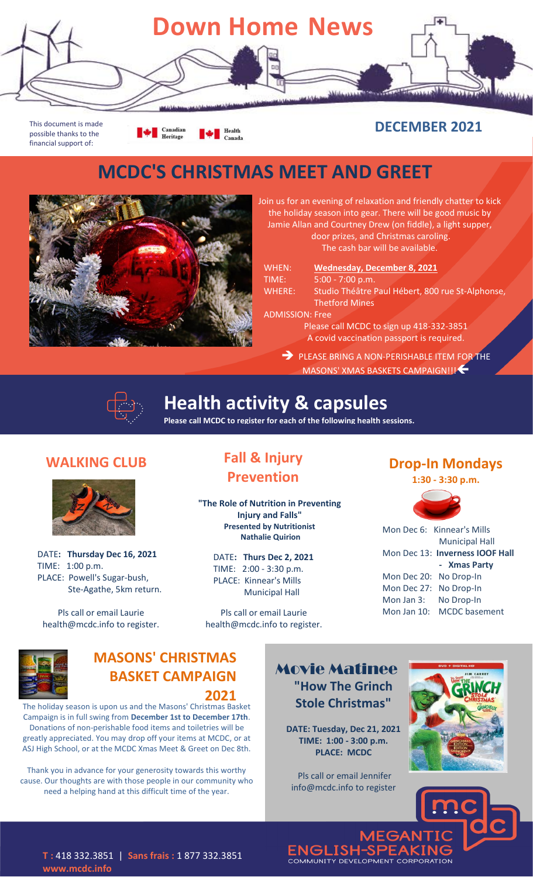

This document is made possible thanks to the financial support of:

**Example 1** Canadian  $\begin{tabular}{|c|c|c|c|} \hline & & Health &  
Canadian \\ \hline \end{tabular}$ 

#### **DECEMBER 2021**

# **MCDC'S CHRISTMAS MEET AND GREET**



Join us for an evening of relaxation and friendly chatter to kick the holiday season into gear. There will be good music by Jamie Allan and Courtney Drew (on fiddle), a light supper, door prizes, and Christmas caroling. The cash bar will be available.

| WHEN:                  | Wednesday, December 8, 2021                      |
|------------------------|--------------------------------------------------|
| TIME:                  | $5:00 - 7:00 p.m.$                               |
| <b>WHERE:</b>          | Studio Théâtre Paul Hébert, 800 rue St-Alphonse, |
|                        | <b>Thetford Mines</b>                            |
| <b>ADMISSION: Free</b> |                                                  |
|                        | Please call MCDC to sign up 418-332-3851         |
|                        | A covid vaccination passport is required.        |
|                        | <b>DIFICE DRULE A MOM REDIGUARLE ITEM 4 FOR</b>  |

PLEASE BRING A NON-PERISHABLE ITEM FOR THE MASONS' XMAS BASKETS CAMPAIGN!!!



**Health activity & capsules**

**Please call MCDC to register for each of the following health sessions.**

#### **WALKING CLUB**



DATE**: Thursday Dec 16, 2021** TIME: 1:00 p.m. PLACE: Powell's Sugar-bush, Ste-Agathe, 5km return.

Pls call or email Laurie health@mcdc.info to register.

## **Fall & Injury Prevention**

**"The Role of Nutrition in Preventing Injury and Falls" Presented by Nutritionist Nathalie Quirion**

DATE**: Thurs Dec 2, 2021** TIME: 2:00 - 3:30 p.m. PLACE: Kinnear's Mills Municipal Hall

Pls call or email Laurie health@mcdc.info to register.

#### **Drop-In Mondays**

**1:30 - 3:30 p.m.**



|                        | Mon Dec 6: Kinnear's Mills      |
|------------------------|---------------------------------|
|                        | <b>Municipal Hall</b>           |
|                        | Mon Dec 13: Inverness IOOF Hall |
|                        | - Xmas Party                    |
| Mon Dec 20: No Drop-In |                                 |
| Mon Dec 27:            | No Drop-In                      |
| Mon Jan 3:             | No Drop-In                      |
|                        | Mon Jan 10: MCDC basement       |



#### **MASONS' CHRISTMAS BASKET CAMPAIGN Presented by Jo Visser**

**2021**

The holiday season is upon us and the Masons' Christmas Basket Campaign is in full swing from **December 1st to December 17th**. Donations of non-perishable food items and toiletries will be greatly appreciated. You may drop off your items at MCDC, or at ASJ High School, or at the MCDC Xmas Meet & Greet on Dec 8th.

Thank you in advance for your generosity towards this worthy cause. Our thoughts are with those people in our community who need a helping hand at this difficult time of the year.

**Movie Matinee "How The Grinch Stole Christmas"**

**DATE: Tuesday, Dec 21, 2021 TIME: 1:00 - 3:00 p.m. PLACE: MCDC** 

Pls call or email Jennifer info@mcdc.info to register



**ENGLISH-SPEAKING**<br>COMMUNITY DEVELOPMENT CORPORATION

**T :** 418 332.3851 | **Sans frais :** 1 877 332.3851 **www.mcdc.info**